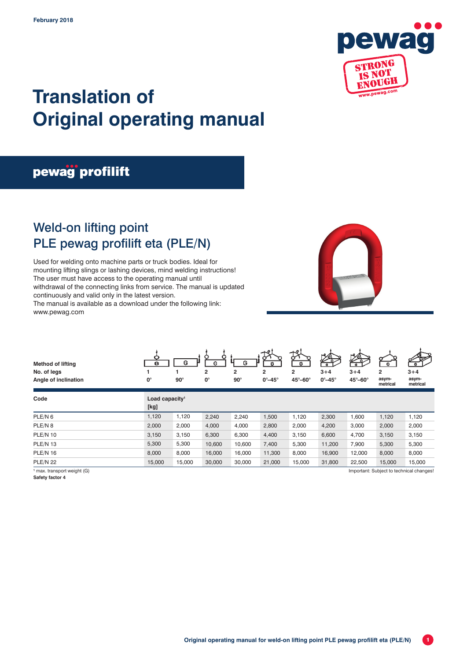

# **Translation of Original operating manual**

## pewag profilift

### Weld-on lifting point PLE pewag profilift eta (PLE/N)

Used for welding onto machine parts or truck bodies. Ideal for mounting lifting slings or lashing devices, mind welding instructions! The user must have access to the operating manual until withdrawal of the connecting links from service. The manual is updated continuously and valid only in the latest version. The manual is available as a download under the following link: www.pewag.com





| Code               | Load capacity <sup>1</sup> |        |        |        |        |        |        |        |        |        |
|--------------------|----------------------------|--------|--------|--------|--------|--------|--------|--------|--------|--------|
|                    | [kg]                       |        |        |        |        |        |        |        |        |        |
| PLE/N <sub>6</sub> | 1,120                      | 1,120  | 2,240  | 2.240  | 1.500  | .120   | 2,300  | 1,600  | 1,120  | 1,120  |
| PLE/N 8            | 2,000                      | 2.000  | 4.000  | 4.000  | 2,800  | 2,000  | 4,200  | 3.000  | 2,000  | 2,000  |
| <b>PLE/N 10</b>    | 3.150                      | 3.150  | 6.300  | 6.300  | 4.400  | 3.150  | 6,600  | 4.700  | 3,150  | 3,150  |
| PLE/N 13           | 5,300                      | 5.300  | 10.600 | 10.600 | 7.400  | 5.300  | 11,200 | 7.900  | 5,300  | 5,300  |
| <b>PLE/N 16</b>    | 8.000                      | 8.000  | 16,000 | 16.000 | 11.300 | 8.000  | 16,900 | 12.000 | 8,000  | 8,000  |
| <b>PLE/N 22</b>    | 15,000                     | 15.000 | 30,000 | 30,000 | 21,000 | 15.000 | 31,800 | 22.500 | 15,000 | 15,000 |

<sup>1</sup> max. transport weight (G)

**Safety factor 4**

Important: Subject to technical changes!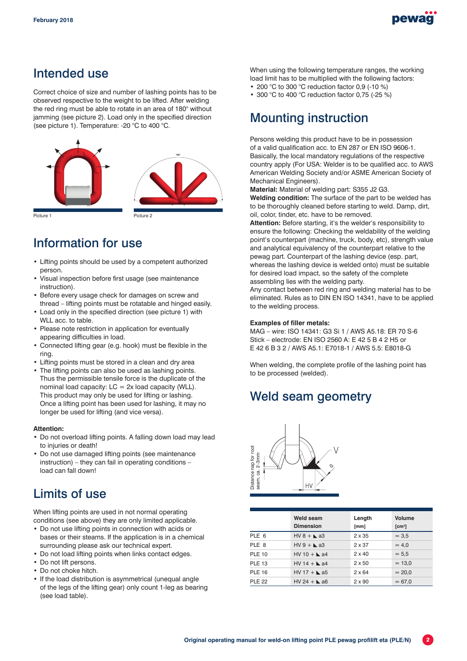

#### Intended use

Correct choice of size and number of lashing points has to be observed respective to the weight to be lifted. After welding the red ring must be able to rotate in an area of 180° without jamming (see picture 2). Load only in the specified direction (see picture 1). Temperature: -20 °C to 400 °C.



#### Information for use

- Lifting points should be used by a competent authorized person.
- Visual inspection before first usage (see maintenance instruction).
- Before every usage check for damages on screw and thread – lifting points must be rotatable and hinged easily.
- Load only in the specified direction (see picture 1) with WILL acc. to table.
- Please note restriction in application for eventually appearing difficulties in load.
- Connected lifting gear (e.g. hook) must be flexible in the ring.
- Lifting points must be stored in a clean and dry area
- The lifting points can also be used as lashing points. Thus the permissible tensile force is the duplicate of the nominal load capacity:  $LC = 2x$  load capacity (WLL). This product may only be used for lifting or lashing. Once a lifting point has been used for lashing, it may no longer be used for lifting (and vice versa).

#### **Attention:**

- Do not overload lifting points. A falling down load may lead to injuries or death!
- Do not use damaged lifting points (see maintenance instruction) – they can fail in operating conditions – load can fall down!

#### Limits of use

When lifting points are used in not normal operating conditions (see above) they are only limited applicable.

- Do not use lifting points in connection with acids or bases or their steams. If the application is in a chemical surrounding please ask our technical expert.
- Do not load lifting points when links contact edges.
- Do not lift persons.
- Do not choke hitch.
- If the load distribution is asymmetrical (unequal angle of the legs of the lifting gear) only count 1-leg as bearing (see load table).

When using the following temperature ranges, the working load limit has to be multiplied with the following factors:

- 200 °C to 300 °C reduction factor 0,9 (-10 %)
- 300 °C to 400 °C reduction factor 0,75 (-25 %)

### Mounting instruction

Persons welding this product have to be in possession of a valid qualification acc. to EN 287 or EN ISO 9606-1. Basically, the local mandatory regulations of the respective country apply (For USA: Welder is to be qualified acc. to AWS American Welding Society and/or ASME American Society of Mechanical Engineers).

**Material:** Material of welding part: S355 J2 G3.

**Welding condition:** The surface of the part to be welded has to be thoroughly cleaned before starting to weld. Damp, dirt, oil, color, tinder, etc. have to be removed.

**Attention:** Before starting, it's the welder's responsibility to ensure the following: Checking the weldability of the welding point's counterpart (machine, truck, body, etc), strength value and analytical equivalency of the counterpart relative to the pewag part. Counterpart of the lashing device (esp. part, whereas the lashing device is welded onto) must be suitable for desired load impact, so the safety of the complete assembling lies with the welding party.

Any contact between red ring and welding material has to be eliminated. Rules as to DIN EN ISO 14341, have to be applied to the welding process.

#### **Examples of filler metals:**

MAG – wire: ISO 14341: G3 Si 1 / AWS A5.18: ER 70 S-6 Stick – electrode: EN ISO 2560 A: E 42 5 B 4 2 H5 or E 42 6 B 3 2 / AWS A5.1: E7018-1 / AWS 5.5: E8018-G

When welding, the complete profile of the lashing point has to be processed (welded).

#### Weld seam geometry



| Distance nap for root<br>seam, ca. 2–3mm<br>ᡐ<br>HV |                                      |                |                                     |  |  |  |  |  |
|-----------------------------------------------------|--------------------------------------|----------------|-------------------------------------|--|--|--|--|--|
|                                                     | <b>Weld seam</b><br><b>Dimension</b> | Length<br>[mm] | <b>Volume</b><br>[cm <sup>3</sup> ] |  |  |  |  |  |
| PLE 6                                               | $HV 8 + \lambda$ a3                  | $2 \times 35$  | $\approx$ 3.5                       |  |  |  |  |  |
| PLE 8                                               | $HV9 +$ a3                           | $2 \times 37$  | $\approx 4.0$                       |  |  |  |  |  |
| <b>PLE 10</b>                                       | $HV 10 + \Delta a4$                  | $2 \times 40$  | $\approx 5.5$                       |  |  |  |  |  |
| <b>PLE 13</b>                                       | $HV 14 + \Delta a4$                  | $2 \times 50$  | $\approx$ 13,0                      |  |  |  |  |  |
| <b>PLE 16</b>                                       | $HV 17 + \Delta$ a5                  | $2 \times 64$  | $\approx 20,0$                      |  |  |  |  |  |
| <b>PLE 22</b>                                       | $HV 24 + \triangle$ a6               | $2 \times 90$  | $\approx 67.0$                      |  |  |  |  |  |